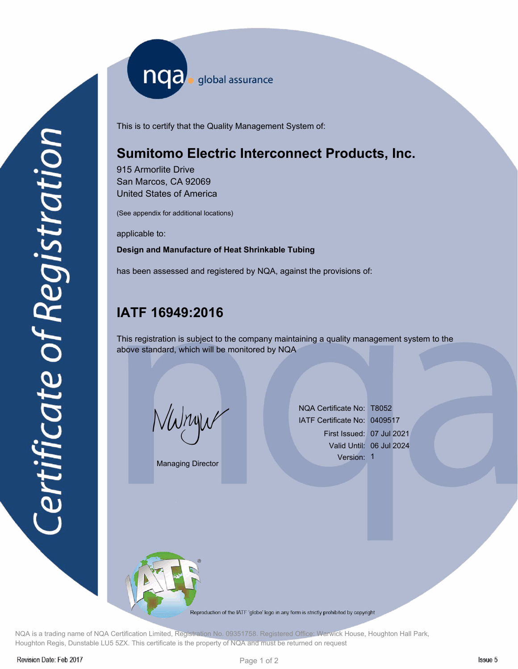nqa <sub>global assurance</sub>

This is to certify that the Quality Management System of:

## **Sumitomo Electric Interconnect Products, Inc.**

915 Armorlite Drive San Marcos, CA 92069 United States of America

(See appendix for additional locations)

applicable to:

## **Design and Manufacture of Heat Shrinkable Tubing**

has been assessed and registered by NQA, against the provisions of:

## **IATF 16949:2016**

This registration is subject to the company maintaining a quality management system to the above standard, which will be monitored by NQA

 $\sqrt{\lambda}$ 

Managing Director

NQA Certificate No: T8052 IATF Certificate No: 0409517 First Issued: 07 Jul 2021 Valid Until: 06 Jul 2024 Version: 1



Reproduction of the IATF 'globe' logo in any form is strictly prohibited by copyright

NQA is a trading name of NQA Certification Limited, Registration No. 09351758. Registered Office: Warwick House, Houghton Hall Park, Houghton Regis, Dunstable LU5 5ZX. This certificate is the property of NQA and must be returned on request